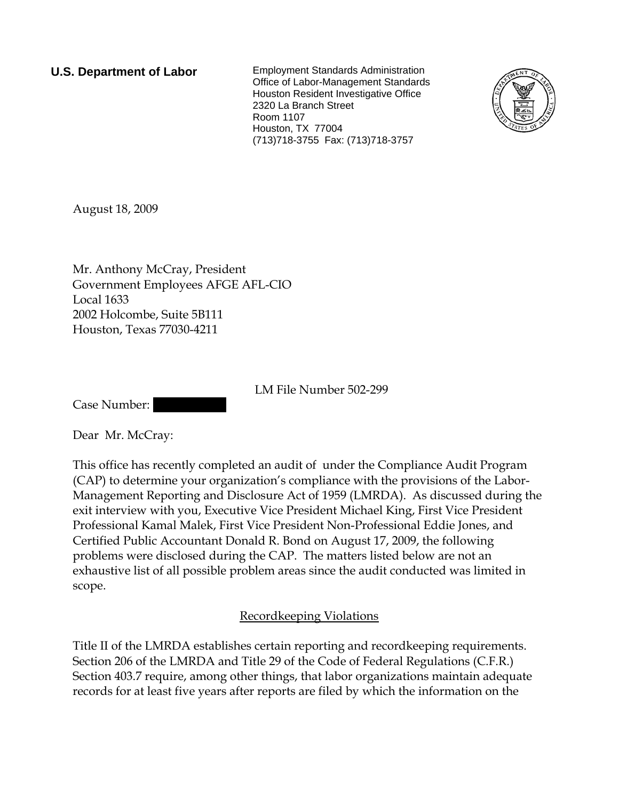**U.S. Department of Labor** Employment Standards Administration Office of Labor-Management Standards Houston Resident Investigative Office 2320 La Branch Street Room 1107 Houston, TX 77004 (713)718-3755 Fax: (713)718-3757



August 18, 2009

Mr. Anthony McCray, President Government Employees AFGE AFL-CIO Local 1633 2002 Holcombe, Suite 5B111 Houston, Texas 77030-4211

LM File Number 502-299

Case Number:

Dear Mr. McCray:

This office has recently completed an audit of under the Compliance Audit Program (CAP) to determine your organization's compliance with the provisions of the Labor-Management Reporting and Disclosure Act of 1959 (LMRDA). As discussed during the exit interview with you, Executive Vice President Michael King, First Vice President Professional Kamal Malek, First Vice President Non-Professional Eddie Jones, and Certified Public Accountant Donald R. Bond on August 17, 2009, the following problems were disclosed during the CAP. The matters listed below are not an exhaustive list of all possible problem areas since the audit conducted was limited in scope.

## Recordkeeping Violations

Title II of the LMRDA establishes certain reporting and recordkeeping requirements. Section 206 of the LMRDA and Title 29 of the Code of Federal Regulations (C.F.R.) Section 403.7 require, among other things, that labor organizations maintain adequate records for at least five years after reports are filed by which the information on the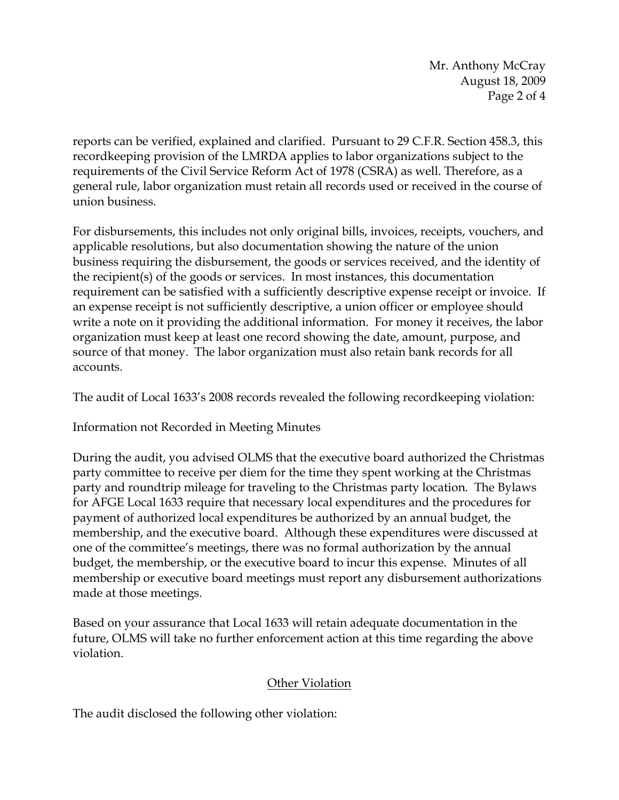Mr. Anthony McCray August 18, 2009 Page 2 of 4

reports can be verified, explained and clarified. Pursuant to 29 C.F.R. Section 458.3, this recordkeeping provision of the LMRDA applies to labor organizations subject to the requirements of the Civil Service Reform Act of 1978 (CSRA) as well. Therefore, as a general rule, labor organization must retain all records used or received in the course of union business.

For disbursements, this includes not only original bills, invoices, receipts, vouchers, and applicable resolutions, but also documentation showing the nature of the union business requiring the disbursement, the goods or services received, and the identity of the recipient(s) of the goods or services. In most instances, this documentation requirement can be satisfied with a sufficiently descriptive expense receipt or invoice. If an expense receipt is not sufficiently descriptive, a union officer or employee should write a note on it providing the additional information. For money it receives, the labor organization must keep at least one record showing the date, amount, purpose, and source of that money. The labor organization must also retain bank records for all accounts.

The audit of Local 1633's 2008 records revealed the following recordkeeping violation:

Information not Recorded in Meeting Minutes

During the audit, you advised OLMS that the executive board authorized the Christmas party committee to receive per diem for the time they spent working at the Christmas party and roundtrip mileage for traveling to the Christmas party location. The Bylaws for AFGE Local 1633 require that necessary local expenditures and the procedures for payment of authorized local expenditures be authorized by an annual budget, the membership, and the executive board. Although these expenditures were discussed at one of the committee's meetings, there was no formal authorization by the annual budget, the membership, or the executive board to incur this expense. Minutes of all membership or executive board meetings must report any disbursement authorizations made at those meetings.

Based on your assurance that Local 1633 will retain adequate documentation in the future, OLMS will take no further enforcement action at this time regarding the above violation.

## Other Violation

The audit disclosed the following other violation: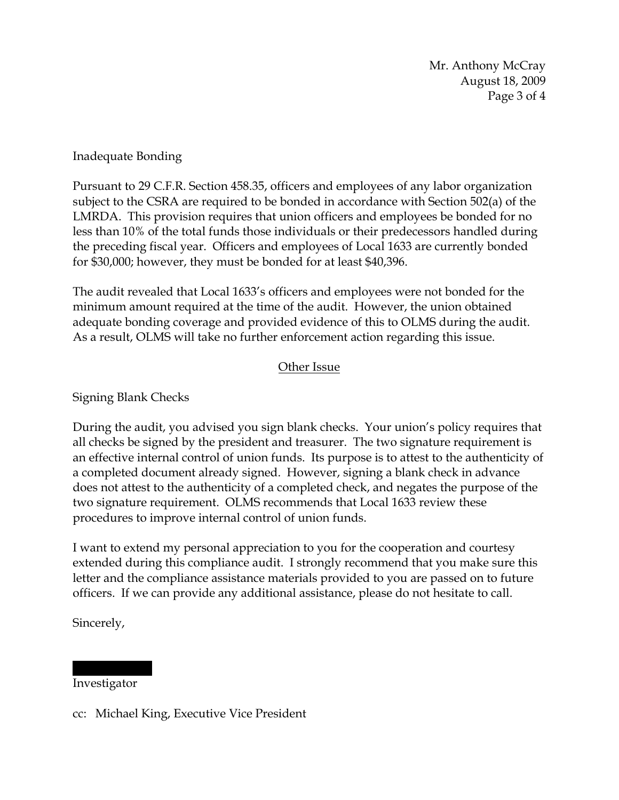Mr. Anthony McCray August 18, 2009 Page 3 of 4

Inadequate Bonding

Pursuant to 29 C.F.R. Section 458.35, officers and employees of any labor organization subject to the CSRA are required to be bonded in accordance with Section 502(a) of the LMRDA. This provision requires that union officers and employees be bonded for no less than 10% of the total funds those individuals or their predecessors handled during the preceding fiscal year. Officers and employees of Local 1633 are currently bonded for \$30,000; however, they must be bonded for at least \$40,396.

The audit revealed that Local 1633's officers and employees were not bonded for the minimum amount required at the time of the audit. However, the union obtained adequate bonding coverage and provided evidence of this to OLMS during the audit. As a result, OLMS will take no further enforcement action regarding this issue.

## Other Issue

Signing Blank Checks

During the audit, you advised you sign blank checks. Your union's policy requires that all checks be signed by the president and treasurer. The two signature requirement is an effective internal control of union funds. Its purpose is to attest to the authenticity of a completed document already signed. However, signing a blank check in advance does not attest to the authenticity of a completed check, and negates the purpose of the two signature requirement. OLMS recommends that Local 1633 review these procedures to improve internal control of union funds.

I want to extend my personal appreciation to you for the cooperation and courtesy extended during this compliance audit. I strongly recommend that you make sure this letter and the compliance assistance materials provided to you are passed on to future officers. If we can provide any additional assistance, please do not hesitate to call.

Sincerely,

Investigator

||| || |||||

cc: Michael King, Executive Vice President